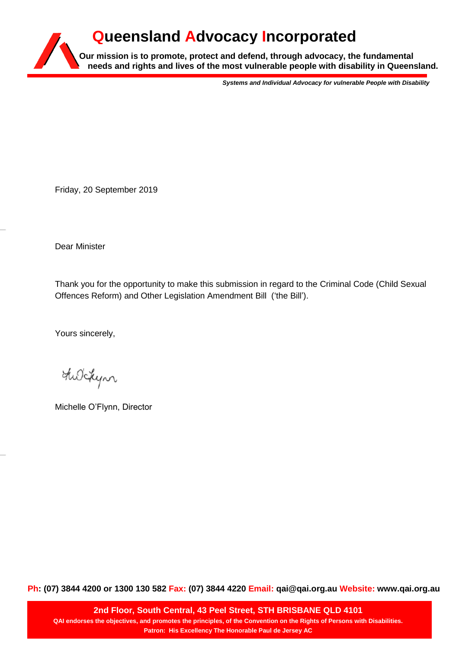# **Our mission is to promote, protect and defend, through advocacy, the fundamental needs and rights and lives of the most vulnerable people with disability in Queensland. Queensland Advocacy Incorporated**

*Systems and Individual Advocacy for vulnerable People with Disability*

Friday, 20 September 2019

Dear Minister

Thank you for the opportunity to make this submission in regard to the Criminal Code (Child Sexual Offences Reform) and Other Legislation Amendment Bill ('the Bill').

Yours sincerely,

the Lyn

Michelle O'Flynn, Director

**Ph: (07) 3844 4200 or 1300 130 582 Fax: (07) 3844 4220 Email: qai@qai.org.au Website: www.qai.org.au**

**2nd Floor, South Central, 43 Peel Street, STH BRISBANE QLD 4101 QAI endorses the objectives, and promotes the principles, of the Convention on the Rights of Persons with Disabilities. Patron: His Excellency The Honorable Paul de Jersey AC**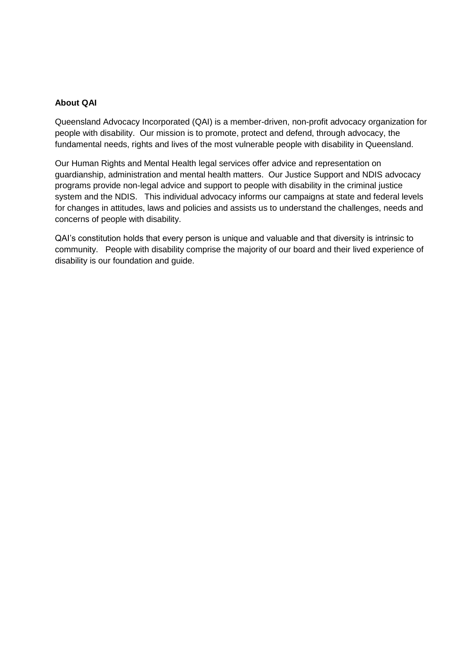#### **About QAI**

Queensland Advocacy Incorporated (QAI) is a member-driven, non-profit advocacy organization for people with disability. Our mission is to promote, protect and defend, through advocacy, the fundamental needs, rights and lives of the most vulnerable people with disability in Queensland.

Our Human Rights and Mental Health legal services offer advice and representation on guardianship, administration and mental health matters. Our Justice Support and NDIS advocacy programs provide non-legal advice and support to people with disability in the criminal justice system and the NDIS. This individual advocacy informs our campaigns at state and federal levels for changes in attitudes, laws and policies and assists us to understand the challenges, needs and concerns of people with disability.

QAI's constitution holds that every person is unique and valuable and that diversity is intrinsic to community. People with disability comprise the majority of our board and their lived experience of disability is our foundation and guide.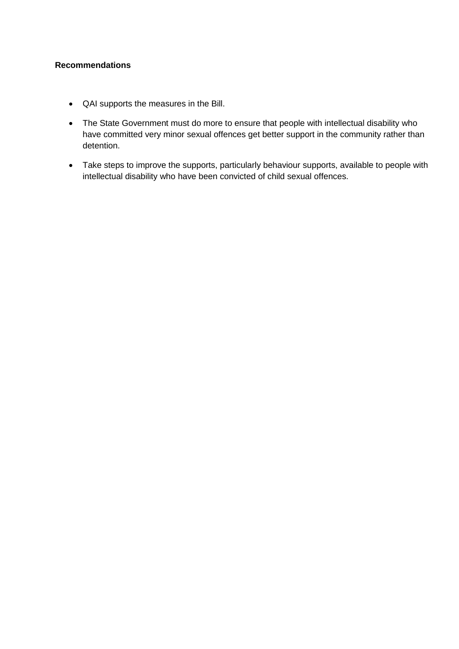## **Recommendations**

- QAI supports the measures in the Bill.
- The State Government must do more to ensure that people with intellectual disability who have committed very minor sexual offences get better support in the community rather than detention.
- Take steps to improve the supports, particularly behaviour supports, available to people with intellectual disability who have been convicted of child sexual offences.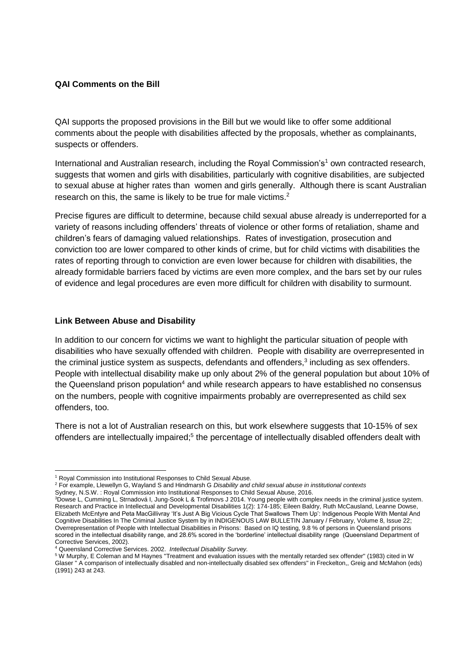## **QAI Comments on the Bill**

QAI supports the proposed provisions in the Bill but we would like to offer some additional comments about the people with disabilities affected by the proposals, whether as complainants, suspects or offenders.

International and Australian research, including the Royal Commission's<sup>1</sup> own contracted research, suggests that women and girls with disabilities, particularly with cognitive disabilities, are subjected to sexual abuse at higher rates than women and girls generally. Although there is scant Australian research on this, the same is likely to be true for male victims. $2$ 

Precise figures are difficult to determine, because child sexual abuse already is underreported for a variety of reasons including offenders' threats of violence or other forms of retaliation, shame and children's fears of damaging valued relationships. Rates of investigation, prosecution and conviction too are lower compared to other kinds of crime, but for child victims with disabilities the rates of reporting through to conviction are even lower because for children with disabilities, the already formidable barriers faced by victims are even more complex, and the bars set by our rules of evidence and legal procedures are even more difficult for children with disability to surmount.

#### **Link Between Abuse and Disability**

In addition to our concern for victims we want to highlight the particular situation of people with disabilities who have sexually offended with children. People with disability are overrepresented in the criminal justice system as suspects, defendants and offenders, 3 including as sex offenders. People with intellectual disability make up only about 2% of the general population but about 10% of the Queensland prison population<sup>4</sup> and while research appears to have established no consensus on the numbers, people with cognitive impairments probably are overrepresented as child sex offenders, too.

There is not a lot of Australian research on this, but work elsewhere suggests that 10-15% of sex offenders are intellectually impaired;<sup>5</sup> the percentage of intellectually disabled offenders dealt with

<sup>1</sup> <sup>1</sup> Royal Commission into Institutional Responses to Child Sexual Abuse.

<sup>2</sup> For example, Llewellyn G, Wayland S and Hindmarsh G *Disability and child sexual abuse in institutional contexts*

Sydney, N.S.W. : Royal Commission into Institutional Responses to Child Sexual Abuse, 2016.

<sup>3</sup>Dowse L, Cumming L, Strnadová I, Jung-Sook L & Trofimovs J 2014. Young people with complex needs in the criminal justice system. Research and Practice in Intellectual and Developmental Disabilities 1(2): 174-185; Eileen Baldry, Ruth McCausland, Leanne Dowse, Elizabeth McEntyre and Peta MacGillivray 'It's Just A Big Vicious Cycle That Swallows Them Up': Indigenous People With Mental And Cognitive Disabilities In The Criminal Justice System by in INDIGENOUS LAW BULLETIN January / February, Volume 8, Issue 22; Overrepresentation of People with Intellectual Disabilities in Prisons: Based on IQ testing, 9.8 % of persons in Queensland prisons scored in the intellectual disability range, and 28.6% scored in the 'borderline' intellectual disability range (Queensland Department of Corrective Services, 2002).

<sup>4</sup> Queensland Corrective Services. 2002. *Intellectual Disability Survey.* 

<sup>5</sup> W Murphy, E Coleman and M Haynes "Treatment and evaluation issues with the mentally retarded sex offender" (1983) cited in W Glaser " A comparison of intellectually disabled and non-intellectually disabled sex offenders" in Freckelton,, Greig and McMahon (eds) (1991) 243 at 243.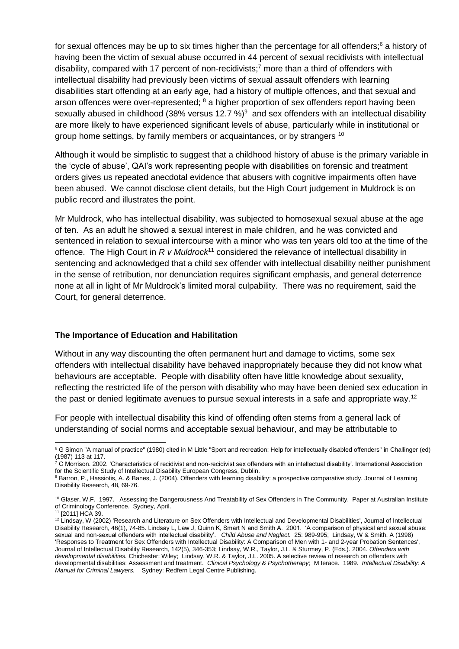for sexual offences may be up to six times higher than the percentage for all offenders;<sup>6</sup> a history of having been the victim of sexual abuse occurred in 44 percent of sexual recidivists with intellectual disability, compared with 17 percent of non-recidivists;<sup>7</sup> more than a third of offenders with intellectual disability had previously been victims of sexual assault offenders with learning disabilities start offending at an early age, had a history of multiple offences, and that sexual and arson offences were over-represented; <sup>8</sup> a higher proportion of sex offenders report having been sexually abused in childhood (38% versus 12.7 %)<sup>9</sup> and sex offenders with an intellectual disability are more likely to have experienced significant levels of abuse, particularly while in institutional or group home settings, by family members or acquaintances, or by strangers <sup>10</sup>

Although it would be simplistic to suggest that a childhood history of abuse is the primary variable in the 'cycle of abuse', QAI's work representing people with disabilities on forensic and treatment orders gives us repeated anecdotal evidence that abusers with cognitive impairments often have been abused. We cannot disclose client details, but the High Court judgement in Muldrock is on public record and illustrates the point.

Mr Muldrock, who has intellectual disability, was subjected to homosexual sexual abuse at the age of ten. As an adult he showed a sexual interest in male children, and he was convicted and sentenced in relation to sexual intercourse with a minor who was ten years old too at the time of the offence. The High Court in *R v Muldrock*<sup>11</sup> considered the relevance of intellectual disability in sentencing and acknowledged that a child sex offender with intellectual disability neither punishment in the sense of retribution, nor denunciation requires significant emphasis, and general deterrence none at all in light of Mr Muldrock's limited moral culpability. There was no requirement, said the Court, for general deterrence.

#### **The Importance of Education and Habilitation**

Without in any way discounting the often permanent hurt and damage to victims, some sex offenders with intellectual disability have behaved inappropriately because they did not know what behaviours are acceptable. People with disability often have little knowledge about sexuality, reflecting the restricted life of the person with disability who may have been denied sex education in the past or denied legitimate avenues to pursue sexual interests in a safe and appropriate way.<sup>12</sup>

For people with intellectual disability this kind of offending often stems from a general lack of understanding of social norms and acceptable sexual behaviour, and may be attributable to

**.** 

<sup>&</sup>lt;sup>6</sup> G Simon "A manual of practice" (1980) cited in M Little "Sport and recreation: Help for intellectually disabled offenders" in Challinger (ed) (1987) 113 at 117.

 $^{\dot\tau}$  C Morrison. 2002. 'Characteristics of recidivist and non-recidivist sex offenders with an intellectual disability'. International Association for the Scientific Study of Intellectual Disability European Congress, Dublin.

<sup>8</sup> Barron, P., Hassiotis, A. & Banes, J. (2004). Offenders with learning disability: a prospective comparative study. Journal of Learning Disability Research, 48, 69-76.

<sup>&</sup>lt;sup>10</sup> Glaser, W.F. 1997. Assessing the Dangerousness And Treatability of Sex Offenders in The Community. Paper at Australian Institute of Criminology Conference. Sydney, April.

<sup>11</sup> [2011] HCA 39.

<sup>12</sup> Lindsay, W (2002) 'Research and Literature on Sex Offenders with Intellectual and Developmental Disabilities', Journal of Intellectual Disability Research, 46(1), 74-85. Lindsay L, Law J, Quinn K, Smart N and Smith A. 2001. 'A comparison of physical and sexual abuse: sexual and non-sexual offenders with intellectual disability'. *Child Abuse and Neglect.* 25: 989-995; Lindsay, W & Smith, A (1998) 'Responses to Treatment for Sex Offenders with Intellectual Disability: A Comparison of Men with 1- and 2-year Probation Sentences', Journal of Intellectual Disability Research, 142(5), 346-353; Lindsay, W.R., Taylor, J.L. & Sturmey, P. (Eds.). 2004. *Offenders with developmental disabilities.* Chichester: Wiley; Lindsay, W.R. & Taylor, J.L. 2005. A selective review of research on offenders with developmental disabilities: Assessment and treatment. *Clinical Psychology & Psychotherapy*; M Ierace. 1989. *Intellectual Disability: A Manual for Criminal Lawyers.* Sydney: Redfern Legal Centre Publishing.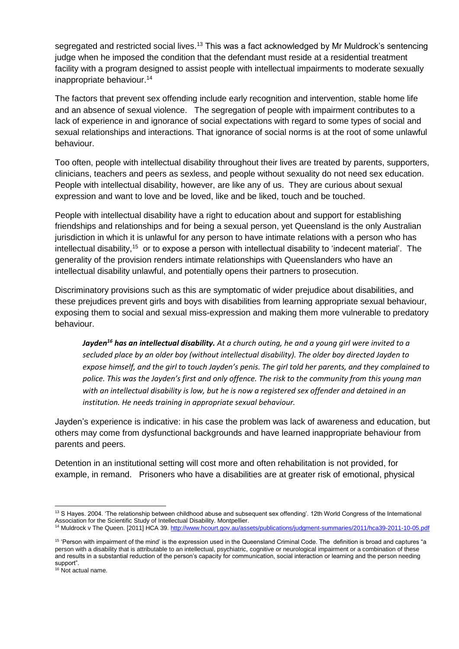segregated and restricted social lives.<sup>13</sup> This was a fact acknowledged by Mr Muldrock's sentencing judge when he imposed the condition that the defendant must reside at a residential treatment facility with a program designed to assist people with intellectual impairments to moderate sexually inappropriate behaviour.<sup>14</sup>

The factors that prevent sex offending include early recognition and intervention, stable home life and an absence of sexual violence. The segregation of people with impairment contributes to a lack of experience in and ignorance of social expectations with regard to some types of social and sexual relationships and interactions. That ignorance of social norms is at the root of some unlawful behaviour.

Too often, people with intellectual disability throughout their lives are treated by parents, supporters, clinicians, teachers and peers as sexless, and people without sexuality do not need sex education. People with intellectual disability, however, are like any of us. They are curious about sexual expression and want to love and be loved, like and be liked, touch and be touched.

People with intellectual disability have a right to education about and support for establishing friendships and relationships and for being a sexual person, yet Queensland is the only Australian jurisdiction in which it is unlawful for any person to have intimate relations with a person who has intellectual disability,<sup>15</sup> or to expose a person with intellectual disability to 'indecent material'. The generality of the provision renders intimate relationships with Queenslanders who have an intellectual disability unlawful, and potentially opens their partners to prosecution.

Discriminatory provisions such as this are symptomatic of wider prejudice about disabilities, and these prejudices prevent girls and boys with disabilities from learning appropriate sexual behaviour, exposing them to social and sexual miss-expression and making them more vulnerable to predatory behaviour.

*Jayden<sup>16</sup> has an intellectual disability. At a church outing, he and a young girl were invited to a secluded place by an older boy (without intellectual disability). The older boy directed Jayden to expose himself, and the girl to touch Jayden's penis. The girl told her parents, and they complained to police. This was the Jayden's first and only offence. The risk to the community from this young man with an intellectual disability is low, but he is now a registered sex offender and detained in an institution. He needs training in appropriate sexual behaviour.* 

Jayden's experience is indicative: in his case the problem was lack of awareness and education, but others may come from dysfunctional backgrounds and have learned inappropriate behaviour from parents and peers.

Detention in an institutional setting will cost more and often rehabilitation is not provided, for example, in remand. Prisoners who have a disabilities are at greater risk of emotional, physical

**<sup>.</sup>** 13 S Hayes. 2004. 'The relationship between childhood abuse and subsequent sex offending'. 12th World Congress of the International Association for the Scientific Study of Intellectual Disability. Montpellier.

<sup>14</sup> Muldrock v The Queen. [2011] HCA 39[. http://www.hcourt.gov.au/assets/publications/judgment-summaries/2011/hca39-2011-10-05.pdf](http://www.hcourt.gov.au/assets/publications/judgment-summaries/2011/hca39-2011-10-05.pdf)

<sup>&</sup>lt;sup>15</sup> 'Person with impairment of the mind' is the expression used in the Queensland Criminal Code. The definition is broad and captures "a person with a disability that is attributable to an intellectual, psychiatric, cognitive or neurological impairment or a combination of these and results in a substantial reduction of the person's capacity for communication, social interaction or learning and the person needing support".

<sup>&</sup>lt;sup>16</sup> Not actual name.